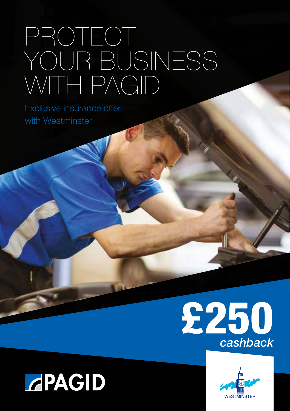## PROTECT YOUR BUSINESS WITH PAGID

Exclusive insurance offer with Westminster



### **GPAGID**

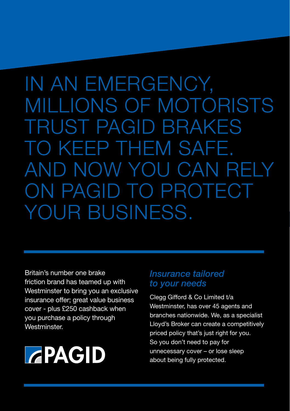IN AN EMERGENCY, MILLIONS OF MOTORISTS TRUST PAGID BRAKES TO KEEP THEM SAFE. AND NOW YOU CAN RELY ON PAGID TO PROTECT YOUR BUSINESS.

Britain's number one brake friction brand has teamed up with Westminster to bring you an exclusive insurance offer; great value business cover - plus £250 cashback when you purchase a policy through Westminster.

# **GPAGID**

#### *Insurance tailored to your needs*

Clegg Gifford & Co Limited t/a Westminster, has over 45 agents and branches nationwide. We, as a specialist Lloyd's Broker can create a competitively priced policy that's just right for you. So you don't need to pay for unnecessary cover – or lose sleep about being fully protected.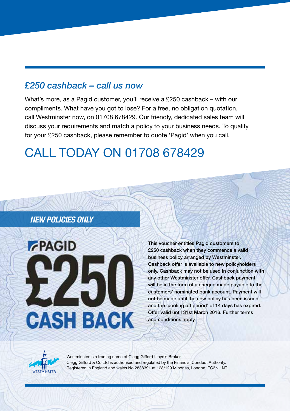#### *£250 cashback – call us now*

What's more, as a Pagid customer, you'll receive a £250 cashback – with our compliments. What have you got to lose? For a free, no obligation quotation, call Westminster now, on 01708 678429. Our friendly, dedicated sales team will discuss your requirements and match a policy to your business needs. To qualify for your £250 cashback, please remember to quote 'Pagid' when you call.

### CALL TODAY ON 01708 678429

#### *NEW POLICIES ONLY*



This voucher entitles Pagid customers to £250 cashback when they commence a valid business policy arranged by Westminster. Cashback offer is available to new policyholders only. Cashback may not be used in conjunction with any other Westminster offer. Cashback payment will be in the form of a cheque made payable to the customers' nominated bank account. Payment will not be made until the new policy has been issued and the 'cooling off period' of 14 days has expired. Offer valid until 31st March 2016. Further terms and conditions apply.



Westminster is a trading name of Clegg Gifford Lloyd's Broker. Clegg Gifford & Co Ltd is authorised and regulated by the Financial Conduct Authority. Registered in England and wales No.2838391 at 128/129 Minories, London, EC3N 1NT.